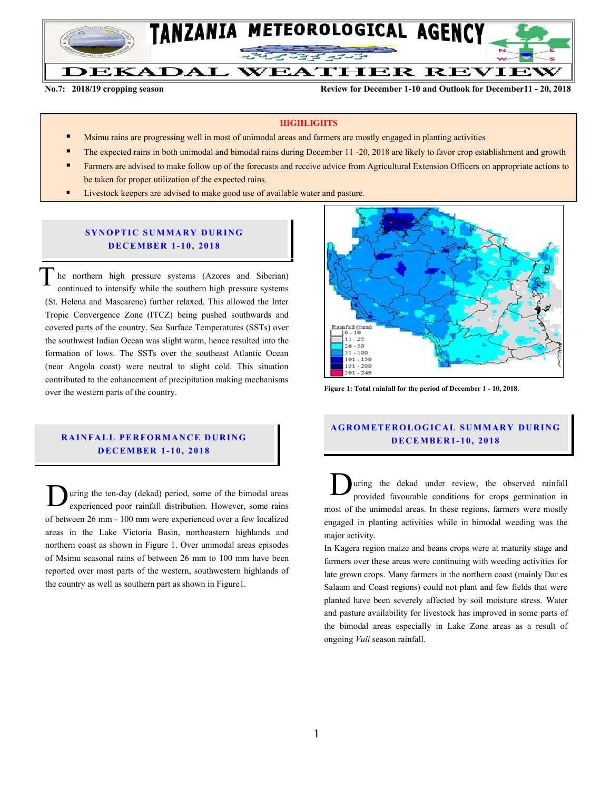

**No.7: 2018/19 cropping season Review for December 1-10 and Outlook for December11 - 20, 2018**

### **HIGHLIGHTS**

- Msimu rains are progressing well in most of unimodal areas and farmers are mostly engaged in planting activities
- The expected rains in both unimodal and bimodal rains during December 11 -20, 2018 are likely to favor crop establishment and growth
- Farmers are advised to make follow up of the forecasts and receive advice from Agricultural Extension Officers on appropriate actions to be taken for proper utilization of the expected rains.
- Livestock keepers are advised to make good use of available water and pasture.

## **SYNOPTIC SUMMARY DURING D ECEMBER 1- 10, 201 8**

he northern high pressure systems (Azores and Siberian) continued to intensify while the southern high pressure systems (St. Helena and Mascarene) further relaxed. This allowed the Inter Tropic Convergence Zone (ITCZ) being pushed southwards and covered parts of the country. Sea Surface Temperatures (SSTs) over the southwest Indian Ocean was slight warm, hence resulted into the formation of lows. The SSTs over the southeast Atlantic Ocean (near Angola coast) were neutral to slight cold. This situation contributed to the enhancement of precipitation making mechanisms over the western parts of the country. T

## **RAINFALL PERFORMANCE DURING D ECEMBER 1- 10, 2018**

uring the ten-day (dekad) period, some of the bimodal areas experienced poor rainfall distribution. However, some rains of between 26 mm - 100 mm were experienced over a few localized areas in the Lake Victoria Basin, northeastern highlands and northern coast as shown in Figure 1. Over unimodal areas episodes of Msimu seasonal rains of between 26 mm to 100 mm have been reported over most parts of the western, southwestern highlands of the country as well as southern part as shown in Figure1. During the ten-day (dekad) period, some of the bimodal areas experienced poor rainfall distribution. However, some rains most of



**Figure 1: Total rainfall for the period of December 1 - 10, 2018.**

## **A G RO METER O LO G IC AL SU MMAR Y DU R IN G D EC EMBER1- 10, 2018**

uring the dekad under review, the observed rainfall provided favourable conditions for crops germination in most of the unimodal areas. In these regions, farmers were mostly engaged in planting activities while in bimodal weeding was the major activity.

In Kagera region maize and beans crops were at maturity stage and farmers over these areas were continuing with weeding activities for late grown crops. Many farmers in the northern coast (mainly Dar es Salaam and Coast regions) could not plant and few fields that were planted have been severely affected by soil moisture stress. Water and pasture availability for livestock has improved in some parts of the bimodal areas especially in Lake Zone areas as a result of ongoing *Vuli* season rainfall.